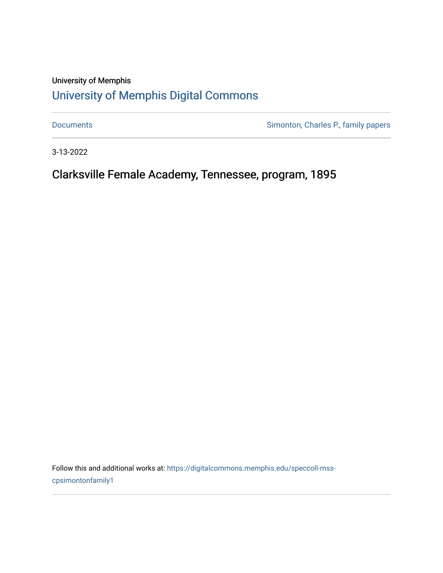# University of Memphis [University of Memphis Digital Commons](https://digitalcommons.memphis.edu/)

[Documents](https://digitalcommons.memphis.edu/speccoll-mss-cpsimontonfamily1) **Simonton, Charles P., family papers** 

3-13-2022

Clarksville Female Academy, Tennessee, program, 1895

Follow this and additional works at: [https://digitalcommons.memphis.edu/speccoll-mss](https://digitalcommons.memphis.edu/speccoll-mss-cpsimontonfamily1?utm_source=digitalcommons.memphis.edu%2Fspeccoll-mss-cpsimontonfamily1%2F24&utm_medium=PDF&utm_campaign=PDFCoverPages)[cpsimontonfamily1](https://digitalcommons.memphis.edu/speccoll-mss-cpsimontonfamily1?utm_source=digitalcommons.memphis.edu%2Fspeccoll-mss-cpsimontonfamily1%2F24&utm_medium=PDF&utm_campaign=PDFCoverPages)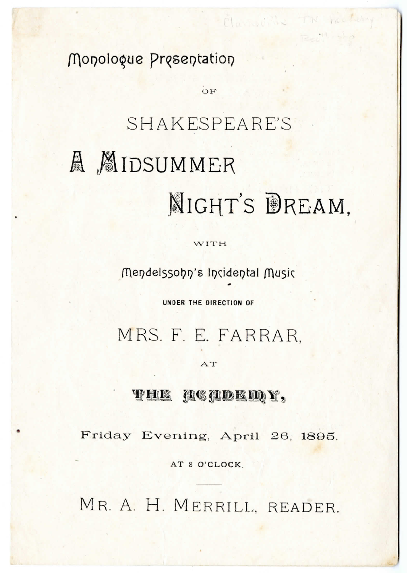Monologue Presentation

# SHAKESPEARE'S A MIDSUMMER NIGHT'S DREAM.

 $\overline{O}F$ 

Clay it's TN heath

WITH

Mendelssohn's Incidental Music

UNDER THE DIRECTION OF

MRS. F. E. FARRAR.

#### AT

# **THE HEADEMY,**

Friday Evening, April 26, 1895.

AT 8 O'CLOCK.

MR. A. H. MERRILL, READER.